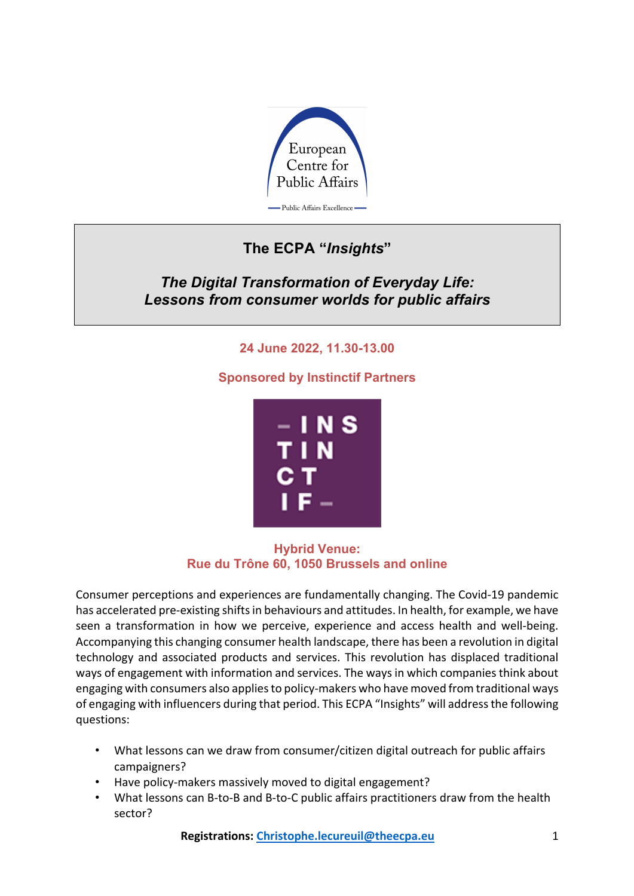

## **The ECPA "***Insights***"**

*The Digital Transformation of Everyday Life: Lessons from consumer worlds for public affairs*

## **24 June 2022, 11.30-13.00**

**Sponsored by Instinctif Partners**



**Hybrid Venue: Rue du Trône 60, 1050 Brussels and online**

Consumer perceptions and experiences are fundamentally changing. The Covid-19 pandemic has accelerated pre-existing shifts in behaviours and attitudes. In health, for example, we have seen a transformation in how we perceive, experience and access health and well-being. Accompanying this changing consumer health landscape, there has been a revolution in digital technology and associated products and services. This revolution has displaced traditional ways of engagement with information and services. The ways in which companies think about engaging with consumers also applies to policy-makers who have moved from traditional ways of engaging with influencers during that period. This ECPA "Insights" will address the following questions:

- What lessons can we draw from consumer/citizen digital outreach for public affairs campaigners?
- Have policy-makers massively moved to digital engagement?
- What lessons can B-to-B and B-to-C public affairs practitioners draw from the health sector?